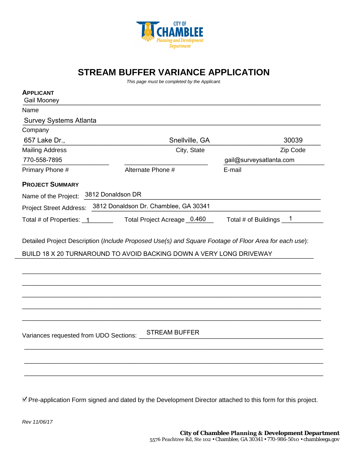

**STREAM BUFFER VARIANCE APPLICATION**

*This page must be completed by the Applicant.*

| Name                                   |                                                                                                                                      |                          |
|----------------------------------------|--------------------------------------------------------------------------------------------------------------------------------------|--------------------------|
| <b>Survey Systems Atlanta</b>          |                                                                                                                                      |                          |
| Company                                |                                                                                                                                      |                          |
| 657 Lake Dr.,                          | Snellville, GA                                                                                                                       | 30039                    |
| <b>Mailing Address</b>                 | City, State                                                                                                                          | Zip Code                 |
| 770-558-7895                           |                                                                                                                                      | gail@surveysatlanta.com  |
| Primary Phone #                        | Alternate Phone #                                                                                                                    | E-mail                   |
| <b>PROJECT SUMMARY</b>                 |                                                                                                                                      |                          |
| Name of the Project:                   | 3812 Donaldson DR                                                                                                                    |                          |
| <b>Project Street Address:</b>         | 3812 Donaldson Dr. Chamblee, GA 30341                                                                                                |                          |
|                                        |                                                                                                                                      |                          |
|                                        | Total Project Acreage 0.460<br>Detailed Project Description (Include Proposed Use(s) and Square Footage of Floor Area for each use): | Total # of Buildings $1$ |
|                                        | BUILD 18 X 20 TURNAROUND TO AVOID BACKING DOWN A VERY LONG DRIVEWAY                                                                  |                          |
| Total # of Properties: 1               |                                                                                                                                      |                          |
| Variances requested from UDO Sections: | <b>STREAM BUFFER</b>                                                                                                                 |                          |

Pre-application Form signed and dated by the Development Director attached to this form for this project.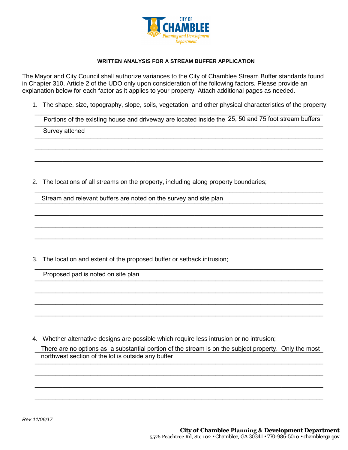

## **WRITTEN ANALYSIS FOR A STREAM BUFFER APPLICATION**

The Mayor and City Council shall authorize variances to the City of Chamblee Stream Buffer standards found in Chapter 310, Article 2 of the UDO only upon consideration of the following factors. Please provide an explanation below for each factor as it applies to your property. Attach additional pages as needed.

1. The shape, size, topography, slope, soils, vegetation, and other physical characteristics of the property;

\_\_\_\_\_\_\_\_\_\_\_\_\_\_\_\_\_\_\_\_\_\_\_\_\_\_\_\_\_\_\_\_\_\_\_\_\_\_\_\_\_\_\_\_\_\_\_\_\_\_\_\_\_\_\_\_\_\_\_\_\_\_\_\_\_\_\_\_\_\_\_\_\_\_\_\_\_\_\_\_\_\_\_ Portions of the existing house and driveway are located inside the 25, 50 and 75 foot stream buffers

\_\_\_\_\_\_\_\_\_\_\_\_\_\_\_\_\_\_\_\_\_\_\_\_\_\_\_\_\_\_\_\_\_\_\_\_\_\_\_\_\_\_\_\_\_\_\_\_\_\_\_\_\_\_\_\_\_\_\_\_\_\_\_\_\_\_\_\_\_\_\_\_\_\_\_\_\_\_\_\_\_\_\_

\_\_\_\_\_\_\_\_\_\_\_\_\_\_\_\_\_\_\_\_\_\_\_\_\_\_\_\_\_\_\_\_\_\_\_\_\_\_\_\_\_\_\_\_\_\_\_\_\_\_\_\_\_\_\_\_\_\_\_\_\_\_\_\_\_\_\_\_\_\_\_\_\_\_\_\_\_\_\_\_\_\_\_

\_\_\_\_\_\_\_\_\_\_\_\_\_\_\_\_\_\_\_\_\_\_\_\_\_\_\_\_\_\_\_\_\_\_\_\_\_\_\_\_\_\_\_\_\_\_\_\_\_\_\_\_\_\_\_\_\_\_\_\_\_\_\_\_\_\_\_\_\_\_\_\_\_\_\_\_\_\_\_\_\_\_\_

\_\_\_\_\_\_\_\_\_\_\_\_\_\_\_\_\_\_\_\_\_\_\_\_\_\_\_\_\_\_\_\_\_\_\_\_\_\_\_\_\_\_\_\_\_\_\_\_\_\_\_\_\_\_\_\_\_\_\_\_\_\_\_\_\_\_\_\_\_\_\_\_\_\_\_\_\_\_\_\_\_\_\_

\_\_\_\_\_\_\_\_\_\_\_\_\_\_\_\_\_\_\_\_\_\_\_\_\_\_\_\_\_\_\_\_\_\_\_\_\_\_\_\_\_\_\_\_\_\_\_\_\_\_\_\_\_\_\_\_\_\_\_\_\_\_\_\_\_\_\_\_\_\_\_\_\_\_\_\_\_\_\_\_\_\_\_

\_\_\_\_\_\_\_\_\_\_\_\_\_\_\_\_\_\_\_\_\_\_\_\_\_\_\_\_\_\_\_\_\_\_\_\_\_\_\_\_\_\_\_\_\_\_\_\_\_\_\_\_\_\_\_\_\_\_\_\_\_\_\_\_\_\_\_\_\_\_\_\_\_\_\_\_\_\_\_\_\_\_\_

\_\_\_\_\_\_\_\_\_\_\_\_\_\_\_\_\_\_\_\_\_\_\_\_\_\_\_\_\_\_\_\_\_\_\_\_\_\_\_\_\_\_\_\_\_\_\_\_\_\_\_\_\_\_\_\_\_\_\_\_\_\_\_\_\_\_\_\_\_\_\_\_\_\_\_\_\_\_\_\_\_\_\_

\_\_\_\_\_\_\_\_\_\_\_\_\_\_\_\_\_\_\_\_\_\_\_\_\_\_\_\_\_\_\_\_\_\_\_\_\_\_\_\_\_\_\_\_\_\_\_\_\_\_\_\_\_\_\_\_\_\_\_\_\_\_\_\_\_\_\_\_\_\_\_\_\_\_\_\_\_\_\_\_\_\_\_

\_\_\_\_\_\_\_\_\_\_\_\_\_\_\_\_\_\_\_\_\_\_\_\_\_\_\_\_\_\_\_\_\_\_\_\_\_\_\_\_\_\_\_\_\_\_\_\_\_\_\_\_\_\_\_\_\_\_\_\_\_\_\_\_\_\_\_\_\_\_\_\_\_\_\_\_\_\_\_\_\_\_\_

\_\_\_\_\_\_\_\_\_\_\_\_\_\_\_\_\_\_\_\_\_\_\_\_\_\_\_\_\_\_\_\_\_\_\_\_\_\_\_\_\_\_\_\_\_\_\_\_\_\_\_\_\_\_\_\_\_\_\_\_\_\_\_\_\_\_\_\_\_\_\_\_\_\_\_\_\_\_\_\_\_\_\_

\_\_\_\_\_\_\_\_\_\_\_\_\_\_\_\_\_\_\_\_\_\_\_\_\_\_\_\_\_\_\_\_\_\_\_\_\_\_\_\_\_\_\_\_\_\_\_\_\_\_\_\_\_\_\_\_\_\_\_\_\_\_\_\_\_\_\_\_\_\_\_\_\_\_\_\_\_\_\_\_\_\_\_ Survey attched

2. The locations of all streams on the property, including along property boundaries;

Stream and relevant buffers are noted on the survey and site plan<br>————————————————————

3. The location and extent of the proposed buffer or setback intrusion;

1 1 opood pad io notod on ono pian Proposed pad is noted on site plan

4. Whether alternative designs are possible which require less intrusion or no intrusion;

There are no options as a substantial portion of the stream is on the subject property. Only the most \_\_\_\_\_\_\_\_\_\_\_\_\_\_\_\_\_\_\_\_\_\_\_\_\_\_\_\_\_\_\_\_\_\_\_\_\_\_\_\_\_\_\_\_\_\_\_\_\_\_\_\_\_\_\_\_\_\_\_\_\_\_\_\_\_\_\_\_\_\_\_\_\_\_\_\_\_\_\_\_\_\_\_ northwest section of the lot is outside any buffer

\_\_\_\_\_\_\_\_\_\_\_\_\_\_\_\_\_\_\_\_\_\_\_\_\_\_\_\_\_\_\_\_\_\_\_\_\_\_\_\_\_\_\_\_\_\_\_\_\_\_\_\_\_\_\_\_\_\_\_\_\_\_\_\_\_\_\_\_\_\_\_\_\_\_\_\_\_\_\_\_\_\_\_

\_\_\_\_\_\_\_\_\_\_\_\_\_\_\_\_\_\_\_\_\_\_\_\_\_\_\_\_\_\_\_\_\_\_\_\_\_\_\_\_\_\_\_\_\_\_\_\_\_\_\_\_\_\_\_\_\_\_\_\_\_\_\_\_\_\_\_\_\_\_\_\_\_\_\_\_\_\_\_\_\_\_\_

\_\_\_\_\_\_\_\_\_\_\_\_\_\_\_\_\_\_\_\_\_\_\_\_\_\_\_\_\_\_\_\_\_\_\_\_\_\_\_\_\_\_\_\_\_\_\_\_\_\_\_\_\_\_\_\_\_\_\_\_\_\_\_\_\_\_\_\_\_\_\_\_\_\_\_\_\_\_\_\_\_\_\_